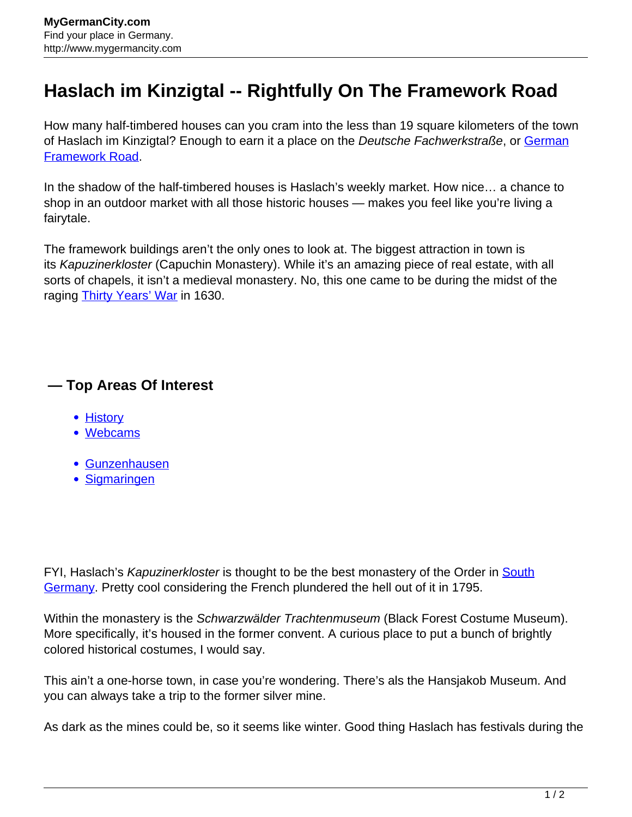## **Haslach im Kinzigtal -- Rightfully On The Framework Road**

How many half-timbered houses can you cram into the less than 19 square kilometers of the town of Haslach im Kinzigtal? Enough to earn it a place on the Deutsche Fachwerkstraße, or [German](http://www.mygermancity.com/german-framework-road) [Framework Road.](http://www.mygermancity.com/german-framework-road)

In the shadow of the half-timbered houses is Haslach's weekly market. How nice… a chance to shop in an outdoor market with all those historic houses — makes you feel like you're living a fairytale.

The framework buildings aren't the only ones to look at. The biggest attraction in town is its Kapuzinerkloster (Capuchin Monastery). While it's an amazing piece of real estate, with all sorts of chapels, it isn't a medieval monastery. No, this one came to be during the midst of the raging [Thirty Years' War](http://www.mygermancity.com/thirty-years-war) in 1630.

## **— Top Areas Of Interest**

- [History](http://www.mygermancity.com/leipzig-history)
- [Webcams](http://www.mygermancity.com/neustadt-holstein-webcams)
- [Gunzenhausen](http://www.mygermancity.com/gunzenhausen)
- [Sigmaringen](http://www.mygermancity.com/sigmaringen)

FYI, Haslach's Kapuzinerkloster is thought to be the best monastery of the Order in [South](http://www.mygermancity.com/south-germany) [Germany.](http://www.mygermancity.com/south-germany) Pretty cool considering the French plundered the hell out of it in 1795.

Within the monastery is the *Schwarzwälder Trachtenmuseum* (Black Forest Costume Museum). More specifically, it's housed in the former convent. A curious place to put a bunch of brightly colored historical costumes, I would say.

This ain't a one-horse town, in case you're wondering. There's als the Hansjakob Museum. And you can always take a trip to the former silver mine.

As dark as the mines could be, so it seems like winter. Good thing Haslach has festivals during the